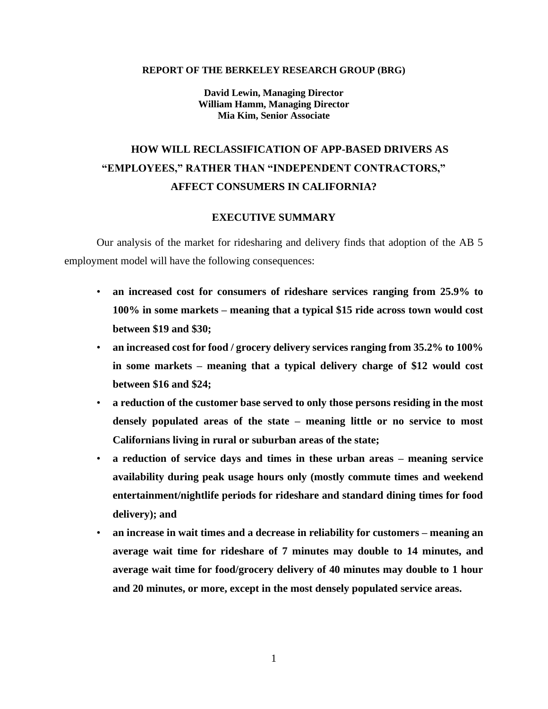#### **REPORT OF THE BERKELEY RESEARCH GROUP (BRG)**

**David Lewin, Managing Director William Hamm, Managing Director Mia Kim, Senior Associate**

# **HOW WILL RECLASSIFICATION OF APP-BASED DRIVERS AS "EMPLOYEES," RATHER THAN "INDEPENDENT CONTRACTORS," AFFECT CONSUMERS IN CALIFORNIA?**

#### **EXECUTIVE SUMMARY**

Our analysis of the market for ridesharing and delivery finds that adoption of the AB 5 employment model will have the following consequences:

- **an increased cost for consumers of rideshare services ranging from 25.9% to 100% in some markets – meaning that a typical \$15 ride across town would cost between \$19 and \$30;**
- **an increased cost for food / grocery delivery services ranging from 35.2% to 100% in some markets – meaning that a typical delivery charge of \$12 would cost between \$16 and \$24;**
- **a reduction of the customer base served to only those persons residing in the most densely populated areas of the state – meaning little or no service to most Californians living in rural or suburban areas of the state;**
- **a reduction of service days and times in these urban areas – meaning service availability during peak usage hours only (mostly commute times and weekend entertainment/nightlife periods for rideshare and standard dining times for food delivery); and**
- **an increase in wait times and a decrease in reliability for customers – meaning an average wait time for rideshare of 7 minutes may double to 14 minutes, and average wait time for food/grocery delivery of 40 minutes may double to 1 hour and 20 minutes, or more, except in the most densely populated service areas.**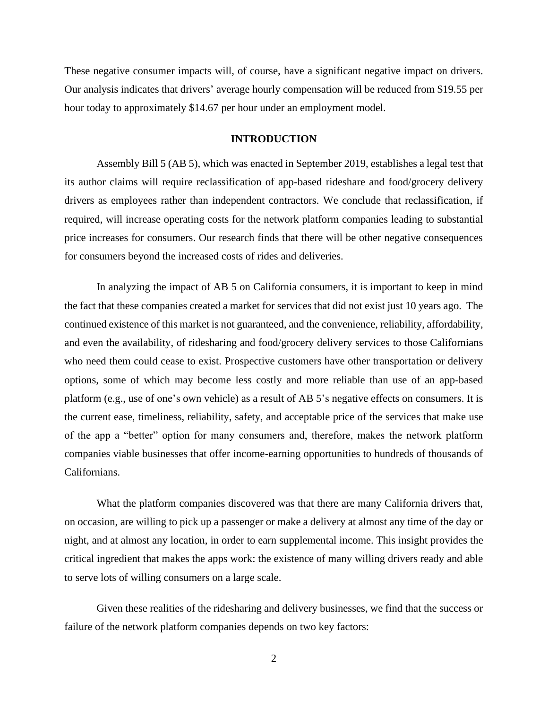These negative consumer impacts will, of course, have a significant negative impact on drivers. Our analysis indicates that drivers' average hourly compensation will be reduced from \$19.55 per hour today to approximately \$14.67 per hour under an employment model.

#### **INTRODUCTION**

Assembly Bill 5 (AB 5), which was enacted in September 2019, establishes a legal test that its author claims will require reclassification of app-based rideshare and food/grocery delivery drivers as employees rather than independent contractors. We conclude that reclassification, if required, will increase operating costs for the network platform companies leading to substantial price increases for consumers. Our research finds that there will be other negative consequences for consumers beyond the increased costs of rides and deliveries.

In analyzing the impact of AB 5 on California consumers, it is important to keep in mind the fact that these companies created a market for services that did not exist just 10 years ago. The continued existence of this market is not guaranteed, and the convenience, reliability, affordability, and even the availability, of ridesharing and food/grocery delivery services to those Californians who need them could cease to exist. Prospective customers have other transportation or delivery options, some of which may become less costly and more reliable than use of an app-based platform (e.g., use of one's own vehicle) as a result of AB 5's negative effects on consumers. It is the current ease, timeliness, reliability, safety, and acceptable price of the services that make use of the app a "better" option for many consumers and, therefore, makes the network platform companies viable businesses that offer income-earning opportunities to hundreds of thousands of Californians.

What the platform companies discovered was that there are many California drivers that, on occasion, are willing to pick up a passenger or make a delivery at almost any time of the day or night, and at almost any location, in order to earn supplemental income. This insight provides the critical ingredient that makes the apps work: the existence of many willing drivers ready and able to serve lots of willing consumers on a large scale.

Given these realities of the ridesharing and delivery businesses, we find that the success or failure of the network platform companies depends on two key factors: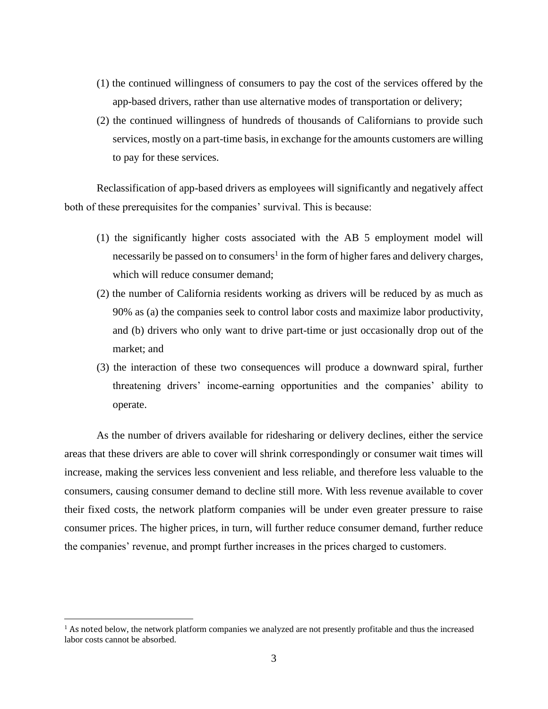- (1) the continued willingness of consumers to pay the cost of the services offered by the app-based drivers, rather than use alternative modes of transportation or delivery;
- (2) the continued willingness of hundreds of thousands of Californians to provide such services, mostly on a part-time basis, in exchange for the amounts customers are willing to pay for these services.

Reclassification of app-based drivers as employees will significantly and negatively affect both of these prerequisites for the companies' survival. This is because:

- (1) the significantly higher costs associated with the AB 5 employment model will necessarily be passed on to consumers<sup>1</sup> in the form of higher fares and delivery charges, which will reduce consumer demand;
- (2) the number of California residents working as drivers will be reduced by as much as 90% as (a) the companies seek to control labor costs and maximize labor productivity, and (b) drivers who only want to drive part-time or just occasionally drop out of the market; and
- (3) the interaction of these two consequences will produce a downward spiral, further threatening drivers' income-earning opportunities and the companies' ability to operate.

As the number of drivers available for ridesharing or delivery declines, either the service areas that these drivers are able to cover will shrink correspondingly or consumer wait times will increase, making the services less convenient and less reliable, and therefore less valuable to the consumers, causing consumer demand to decline still more. With less revenue available to cover their fixed costs, the network platform companies will be under even greater pressure to raise consumer prices. The higher prices, in turn, will further reduce consumer demand, further reduce the companies' revenue, and prompt further increases in the prices charged to customers.

<sup>&</sup>lt;sup>1</sup> As noted below, the network platform companies we analyzed are not presently profitable and thus the increased labor costs cannot be absorbed.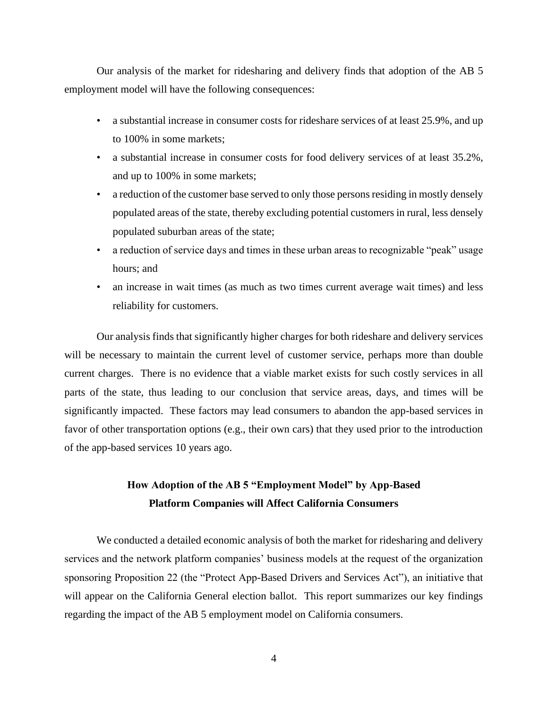Our analysis of the market for ridesharing and delivery finds that adoption of the AB 5 employment model will have the following consequences:

- a substantial increase in consumer costs for rideshare services of at least 25.9%, and up to 100% in some markets;
- a substantial increase in consumer costs for food delivery services of at least 35.2%, and up to 100% in some markets;
- a reduction of the customer base served to only those persons residing in mostly densely populated areas of the state, thereby excluding potential customers in rural, less densely populated suburban areas of the state;
- a reduction of service days and times in these urban areas to recognizable "peak" usage hours; and
- an increase in wait times (as much as two times current average wait times) and less reliability for customers.

Our analysis finds that significantly higher charges for both rideshare and delivery services will be necessary to maintain the current level of customer service, perhaps more than double current charges. There is no evidence that a viable market exists for such costly services in all parts of the state, thus leading to our conclusion that service areas, days, and times will be significantly impacted. These factors may lead consumers to abandon the app-based services in favor of other transportation options (e.g., their own cars) that they used prior to the introduction of the app-based services 10 years ago.

# **How Adoption of the AB 5 "Employment Model" by App-Based Platform Companies will Affect California Consumers**

We conducted a detailed economic analysis of both the market for ridesharing and delivery services and the network platform companies' business models at the request of the organization sponsoring Proposition 22 (the "Protect App-Based Drivers and Services Act"), an initiative that will appear on the California General election ballot. This report summarizes our key findings regarding the impact of the AB 5 employment model on California consumers.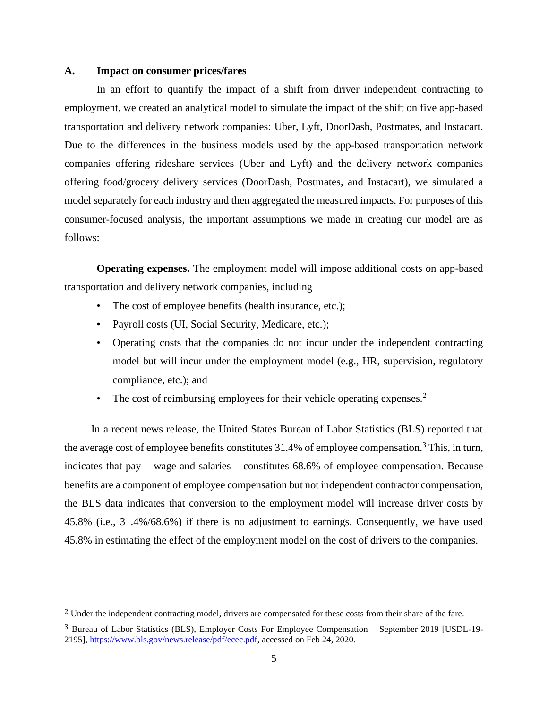#### **A. Impact on consumer prices/fares**

In an effort to quantify the impact of a shift from driver independent contracting to employment, we created an analytical model to simulate the impact of the shift on five app-based transportation and delivery network companies: Uber, Lyft, DoorDash, Postmates, and Instacart. Due to the differences in the business models used by the app-based transportation network companies offering rideshare services (Uber and Lyft) and the delivery network companies offering food/grocery delivery services (DoorDash, Postmates, and Instacart), we simulated a model separately for each industry and then aggregated the measured impacts. For purposes of this consumer-focused analysis, the important assumptions we made in creating our model are as follows:

**Operating expenses.** The employment model will impose additional costs on app-based transportation and delivery network companies, including

- The cost of employee benefits (health insurance, etc.);
- Payroll costs (UI, Social Security, Medicare, etc.);
- Operating costs that the companies do not incur under the independent contracting model but will incur under the employment model (e.g., HR, supervision, regulatory compliance, etc.); and
- The cost of reimbursing employees for their vehicle operating expenses. $<sup>2</sup>$ </sup>

 In a recent news release, the United States Bureau of Labor Statistics (BLS) reported that the average cost of employee benefits constitutes  $31.4\%$  of employee compensation.<sup>3</sup> This, in turn, indicates that pay – wage and salaries – constitutes 68.6% of employee compensation. Because benefits are a component of employee compensation but not independent contractor compensation, the BLS data indicates that conversion to the employment model will increase driver costs by 45.8% (i.e., 31.4%/68.6%) if there is no adjustment to earnings. Consequently, we have used 45.8% in estimating the effect of the employment model on the cost of drivers to the companies.

<sup>&</sup>lt;sup>2</sup> Under the independent contracting model, drivers are compensated for these costs from their share of the fare.

<sup>3</sup> Bureau of Labor Statistics (BLS), Employer Costs For Employee Compensation – September 2019 [USDL-19- 2195], [https://www.bls.gov/news.release/pdf/ecec.pdf,](https://www.bls.gov/news.release/pdf/ecec.pdf) accessed on Feb 24, 2020.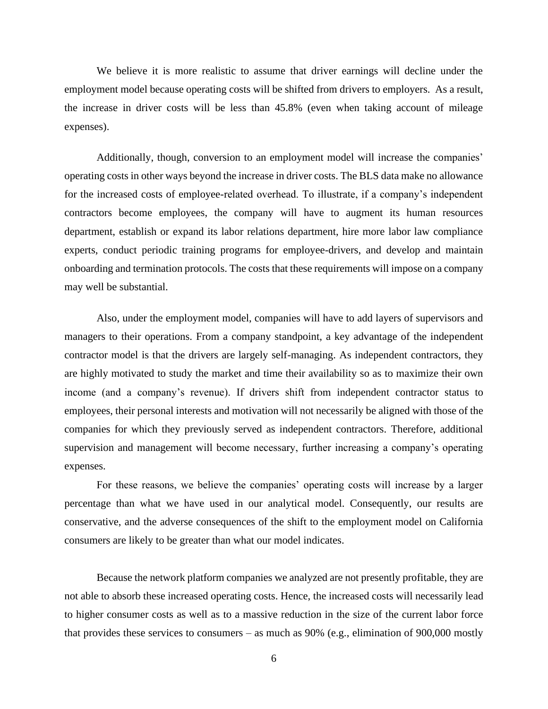We believe it is more realistic to assume that driver earnings will decline under the employment model because operating costs will be shifted from drivers to employers. As a result, the increase in driver costs will be less than 45.8% (even when taking account of mileage expenses).

Additionally, though, conversion to an employment model will increase the companies' operating costs in other ways beyond the increase in driver costs. The BLS data make no allowance for the increased costs of employee-related overhead. To illustrate, if a company's independent contractors become employees, the company will have to augment its human resources department, establish or expand its labor relations department, hire more labor law compliance experts, conduct periodic training programs for employee-drivers, and develop and maintain onboarding and termination protocols. The costs that these requirements will impose on a company may well be substantial.

Also, under the employment model, companies will have to add layers of supervisors and managers to their operations. From a company standpoint, a key advantage of the independent contractor model is that the drivers are largely self-managing. As independent contractors, they are highly motivated to study the market and time their availability so as to maximize their own income (and a company's revenue). If drivers shift from independent contractor status to employees, their personal interests and motivation will not necessarily be aligned with those of the companies for which they previously served as independent contractors. Therefore, additional supervision and management will become necessary, further increasing a company's operating expenses.

For these reasons, we believe the companies' operating costs will increase by a larger percentage than what we have used in our analytical model. Consequently, our results are conservative, and the adverse consequences of the shift to the employment model on California consumers are likely to be greater than what our model indicates.

Because the network platform companies we analyzed are not presently profitable, they are not able to absorb these increased operating costs. Hence, the increased costs will necessarily lead to higher consumer costs as well as to a massive reduction in the size of the current labor force that provides these services to consumers – as much as 90% (e.g., elimination of 900,000 mostly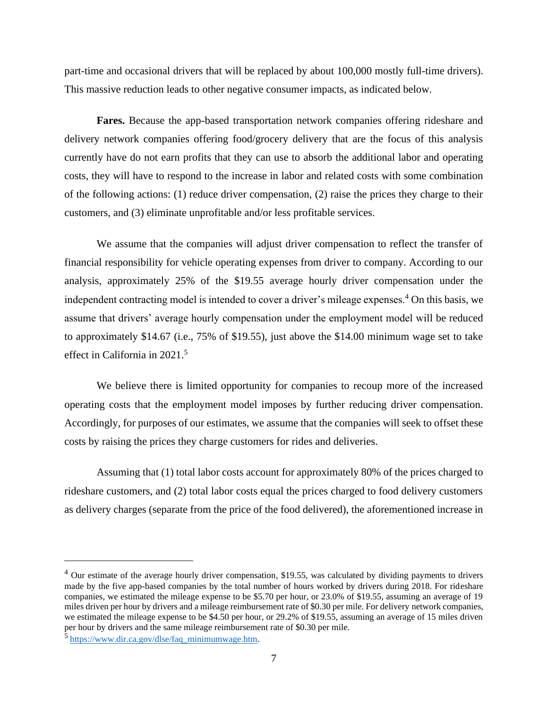part-time and occasional drivers that will be replaced by about 100,000 mostly full-time drivers). This massive reduction leads to other negative consumer impacts, as indicated below.

**Fares.** Because the app-based transportation network companies offering rideshare and delivery network companies offering food/grocery delivery that are the focus of this analysis currently have do not earn profits that they can use to absorb the additional labor and operating costs, they will have to respond to the increase in labor and related costs with some combination of the following actions: (1) reduce driver compensation, (2) raise the prices they charge to their customers, and (3) eliminate unprofitable and/or less profitable services.

We assume that the companies will adjust driver compensation to reflect the transfer of financial responsibility for vehicle operating expenses from driver to company. According to our analysis, approximately 25% of the \$19.55 average hourly driver compensation under the independent contracting model is intended to cover a driver's mileage expenses.<sup>4</sup> On this basis, we assume that drivers' average hourly compensation under the employment model will be reduced to approximately \$14.67 (i.e., 75% of \$19.55), just above the \$14.00 minimum wage set to take effect in California in 2021.<sup>5</sup>

We believe there is limited opportunity for companies to recoup more of the increased operating costs that the employment model imposes by further reducing driver compensation. Accordingly, for purposes of our estimates, we assume that the companies will seek to offset these costs by raising the prices they charge customers for rides and deliveries.

Assuming that (1) total labor costs account for approximately 80% of the prices charged to rideshare customers, and (2) total labor costs equal the prices charged to food delivery customers as delivery charges (separate from the price of the food delivered), the aforementioned increase in

 $4$  Our estimate of the average hourly driver compensation, \$19.55, was calculated by dividing payments to drivers made by the five app-based companies by the total number of hours worked by drivers during 2018. For rideshare companies, we estimated the mileage expense to be \$5.70 per hour, or 23.0% of \$19.55, assuming an average of 19 miles driven per hour by drivers and a mileage reimbursement rate of \$0.30 per mile. For delivery network companies, we estimated the mileage expense to be \$4.50 per hour, or 29.2% of \$19.55, assuming an average of 15 miles driven per hour by drivers and the same mileage reimbursement rate of \$0.30 per mile.

<sup>&</sup>lt;sup>5</sup> [https://www.dir.ca.gov/dlse/faq\\_minimumwage.htm.](https://www.dir.ca.gov/dlse/faq_minimumwage.htm)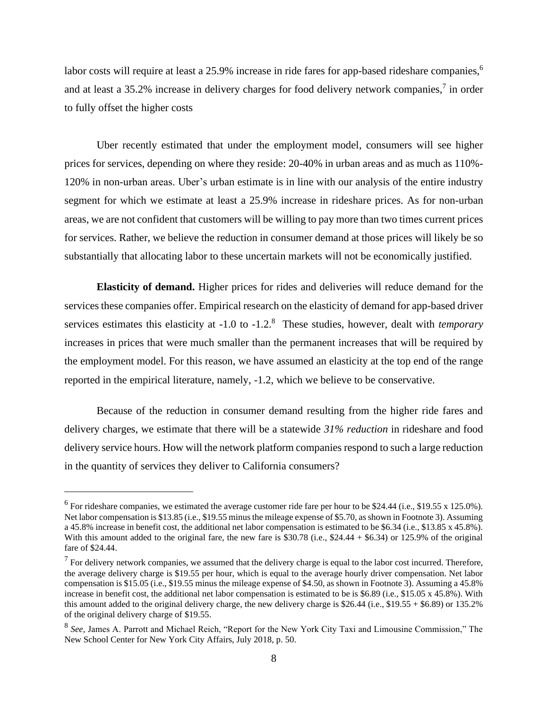labor costs will require at least a 25.9% increase in ride fares for app-based rideshare companies,<sup>6</sup> and at least a 35.2% increase in delivery charges for food delivery network companies,<sup>7</sup> in order to fully offset the higher costs

Uber recently estimated that under the employment model, consumers will see higher prices for services, depending on where they reside: 20-40% in urban areas and as much as 110%- 120% in non-urban areas. Uber's urban estimate is in line with our analysis of the entire industry segment for which we estimate at least a 25.9% increase in rideshare prices. As for non-urban areas, we are not confident that customers will be willing to pay more than two times current prices for services. Rather, we believe the reduction in consumer demand at those prices will likely be so substantially that allocating labor to these uncertain markets will not be economically justified.

**Elasticity of demand.** Higher prices for rides and deliveries will reduce demand for the services these companies offer. Empirical research on the elasticity of demand for app-based driver services estimates this elasticity at -1.0 to -1.2.<sup>8</sup> These studies, however, dealt with *temporary* increases in prices that were much smaller than the permanent increases that will be required by the employment model. For this reason, we have assumed an elasticity at the top end of the range reported in the empirical literature, namely, -1.2, which we believe to be conservative.

Because of the reduction in consumer demand resulting from the higher ride fares and delivery charges, we estimate that there will be a statewide *31% reduction* in rideshare and food delivery service hours. How will the network platform companies respond to such a large reduction in the quantity of services they deliver to California consumers?

 $<sup>6</sup>$  For rideshare companies, we estimated the average customer ride fare per hour to be \$24.44 (i.e., \$19.55 x 125.0%).</sup> Net labor compensation is \$13.85 (i.e., \$19.55 minus the mileage expense of \$5.70, as shown in Footnote 3). Assuming a 45.8% increase in benefit cost, the additional net labor compensation is estimated to be \$6.34 (i.e., \$13.85 x 45.8%). With this amount added to the original fare, the new fare is \$30.78 (i.e.,  $$24.44 + $6.34$ ) or 125.9% of the original fare of \$24.44.

 $<sup>7</sup>$  For delivery network companies, we assumed that the delivery charge is equal to the labor cost incurred. Therefore,</sup> the average delivery charge is \$19.55 per hour, which is equal to the average hourly driver compensation. Net labor compensation is \$15.05 (i.e., \$19.55 minus the mileage expense of \$4.50, as shown in Footnote 3). Assuming a 45.8% increase in benefit cost, the additional net labor compensation is estimated to be is \$6.89 (i.e., \$15.05 x 45.8%). With this amount added to the original delivery charge, the new delivery charge is \$26.44 (i.e., \$19.55 + \$6.89) or 135.2% of the original delivery charge of \$19.55.

<sup>8</sup> *See,* James A. Parrott and Michael Reich, "Report for the New York City Taxi and Limousine Commission," The New School Center for New York City Affairs, July 2018, p. 50.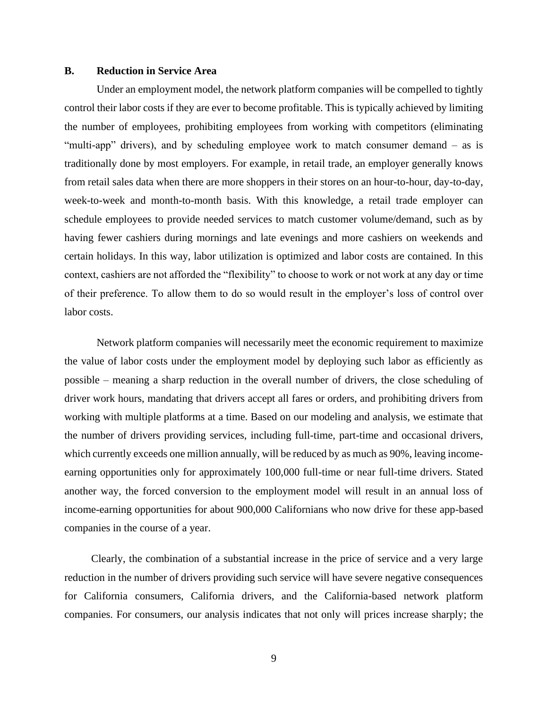#### **B. Reduction in Service Area**

Under an employment model, the network platform companies will be compelled to tightly control their labor costs if they are ever to become profitable. This is typically achieved by limiting the number of employees, prohibiting employees from working with competitors (eliminating "multi-app" drivers), and by scheduling employee work to match consumer demand – as is traditionally done by most employers. For example, in retail trade, an employer generally knows from retail sales data when there are more shoppers in their stores on an hour-to-hour, day-to-day, week-to-week and month-to-month basis. With this knowledge, a retail trade employer can schedule employees to provide needed services to match customer volume/demand, such as by having fewer cashiers during mornings and late evenings and more cashiers on weekends and certain holidays. In this way, labor utilization is optimized and labor costs are contained. In this context, cashiers are not afforded the "flexibility" to choose to work or not work at any day or time of their preference. To allow them to do so would result in the employer's loss of control over labor costs.

Network platform companies will necessarily meet the economic requirement to maximize the value of labor costs under the employment model by deploying such labor as efficiently as possible – meaning a sharp reduction in the overall number of drivers, the close scheduling of driver work hours, mandating that drivers accept all fares or orders, and prohibiting drivers from working with multiple platforms at a time. Based on our modeling and analysis, we estimate that the number of drivers providing services, including full-time, part-time and occasional drivers, which currently exceeds one million annually, will be reduced by as much as 90%, leaving incomeearning opportunities only for approximately 100,000 full-time or near full-time drivers. Stated another way, the forced conversion to the employment model will result in an annual loss of income-earning opportunities for about 900,000 Californians who now drive for these app-based companies in the course of a year.

 Clearly, the combination of a substantial increase in the price of service and a very large reduction in the number of drivers providing such service will have severe negative consequences for California consumers, California drivers, and the California-based network platform companies. For consumers, our analysis indicates that not only will prices increase sharply; the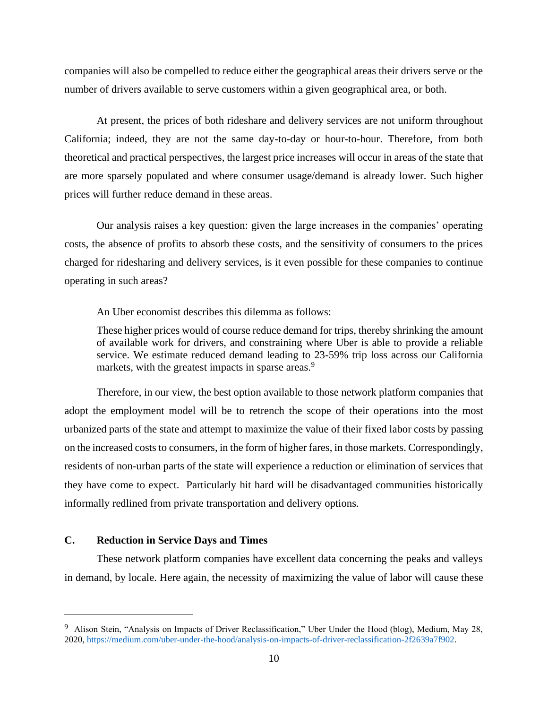companies will also be compelled to reduce either the geographical areas their drivers serve or the number of drivers available to serve customers within a given geographical area, or both.

At present, the prices of both rideshare and delivery services are not uniform throughout California; indeed, they are not the same day-to-day or hour-to-hour. Therefore, from both theoretical and practical perspectives, the largest price increases will occur in areas of the state that are more sparsely populated and where consumer usage/demand is already lower. Such higher prices will further reduce demand in these areas.

Our analysis raises a key question: given the large increases in the companies' operating costs, the absence of profits to absorb these costs, and the sensitivity of consumers to the prices charged for ridesharing and delivery services, is it even possible for these companies to continue operating in such areas?

An Uber economist describes this dilemma as follows:

These higher prices would of course reduce demand for trips, thereby shrinking the amount of available work for drivers, and constraining where Uber is able to provide a reliable service. We estimate reduced demand leading to 23-59% trip loss across our California markets, with the greatest impacts in sparse areas.<sup>9</sup>

Therefore, in our view, the best option available to those network platform companies that adopt the employment model will be to retrench the scope of their operations into the most urbanized parts of the state and attempt to maximize the value of their fixed labor costs by passing on the increased costs to consumers, in the form of higher fares, in those markets. Correspondingly, residents of non-urban parts of the state will experience a reduction or elimination of services that they have come to expect. Particularly hit hard will be disadvantaged communities historically informally redlined from private transportation and delivery options.

#### **C. Reduction in Service Days and Times**

These network platform companies have excellent data concerning the peaks and valleys in demand, by locale. Here again, the necessity of maximizing the value of labor will cause these

<sup>&</sup>lt;sup>9</sup> Alison Stein, "Analysis on Impacts of Driver Reclassification," Uber Under the Hood (blog), Medium, May 28, 2020, [https://medium.com/uber-under-the-hood/analysis-on-impacts-of-driver-reclassification-2f2639a7f902.](https://medium.com/uber-under-the-hood/analysis-on-impacts-of-driver-reclassification-2f2639a7f902)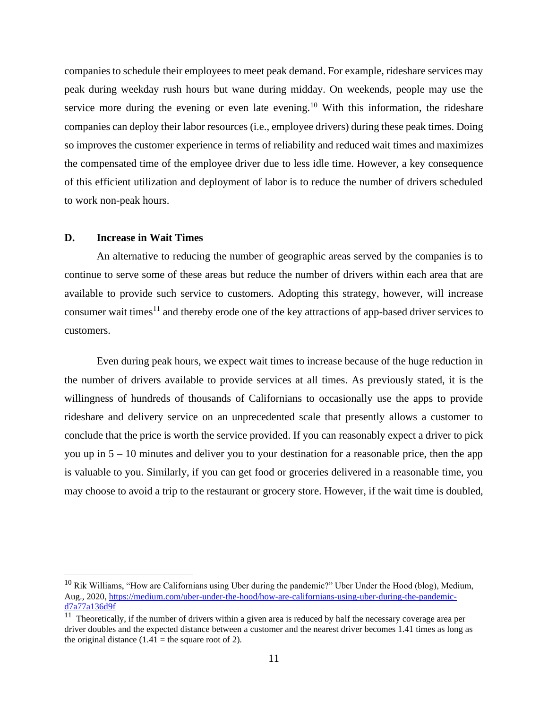companies to schedule their employees to meet peak demand. For example, rideshare services may peak during weekday rush hours but wane during midday. On weekends, people may use the service more during the evening or even late evening.<sup>10</sup> With this information, the rideshare companies can deploy their labor resources (i.e., employee drivers) during these peak times. Doing so improves the customer experience in terms of reliability and reduced wait times and maximizes the compensated time of the employee driver due to less idle time. However, a key consequence of this efficient utilization and deployment of labor is to reduce the number of drivers scheduled to work non-peak hours.

#### **D. Increase in Wait Times**

An alternative to reducing the number of geographic areas served by the companies is to continue to serve some of these areas but reduce the number of drivers within each area that are available to provide such service to customers. Adopting this strategy, however, will increase consumer wait times<sup>11</sup> and thereby erode one of the key attractions of app-based driver services to customers.

Even during peak hours, we expect wait times to increase because of the huge reduction in the number of drivers available to provide services at all times. As previously stated, it is the willingness of hundreds of thousands of Californians to occasionally use the apps to provide rideshare and delivery service on an unprecedented scale that presently allows a customer to conclude that the price is worth the service provided. If you can reasonably expect a driver to pick you up in 5 – 10 minutes and deliver you to your destination for a reasonable price, then the app is valuable to you. Similarly, if you can get food or groceries delivered in a reasonable time, you may choose to avoid a trip to the restaurant or grocery store. However, if the wait time is doubled,

 $10$  Rik Williams, "How are Californians using Uber during the pandemic?" Uber Under the Hood (blog), Medium, Aug., 2020[, https://medium.com/uber-under-the-hood/how-are-californians-using-uber-during-the-pandemic](https://medium.com/uber-under-the-hood/how-are-californians-using-uber-during-the-pandemic-d7a77a136d9f)[d7a77a136d9f](https://medium.com/uber-under-the-hood/how-are-californians-using-uber-during-the-pandemic-d7a77a136d9f)

<sup>&</sup>lt;sup>11</sup> Theoretically, if the number of drivers within a given area is reduced by half the necessary coverage area per driver doubles and the expected distance between a customer and the nearest driver becomes 1.41 times as long as the original distance  $(1.41 =$  the square root of 2).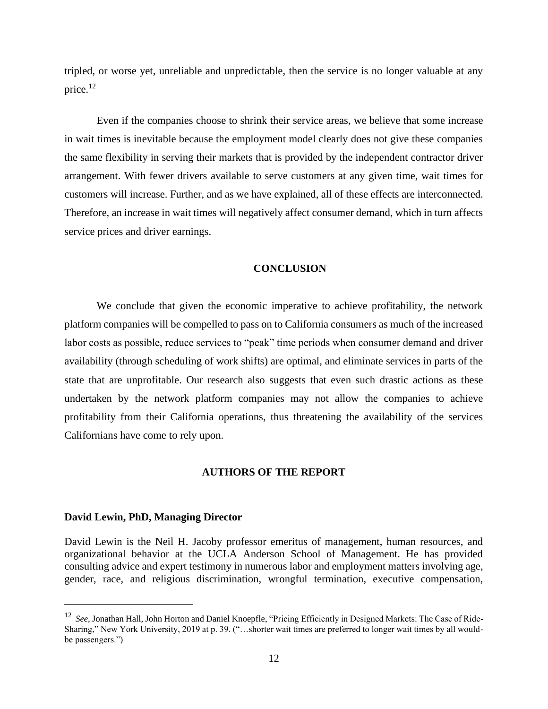tripled, or worse yet, unreliable and unpredictable, then the service is no longer valuable at any price.<sup>12</sup>

Even if the companies choose to shrink their service areas, we believe that some increase in wait times is inevitable because the employment model clearly does not give these companies the same flexibility in serving their markets that is provided by the independent contractor driver arrangement. With fewer drivers available to serve customers at any given time, wait times for customers will increase. Further, and as we have explained, all of these effects are interconnected. Therefore, an increase in wait times will negatively affect consumer demand, which in turn affects service prices and driver earnings.

#### **CONCLUSION**

We conclude that given the economic imperative to achieve profitability, the network platform companies will be compelled to pass on to California consumers as much of the increased labor costs as possible, reduce services to "peak" time periods when consumer demand and driver availability (through scheduling of work shifts) are optimal, and eliminate services in parts of the state that are unprofitable. Our research also suggests that even such drastic actions as these undertaken by the network platform companies may not allow the companies to achieve profitability from their California operations, thus threatening the availability of the services Californians have come to rely upon.

## **AUTHORS OF THE REPORT**

#### **David Lewin, PhD, Managing Director**

David Lewin is the Neil H. Jacoby professor emeritus of management, human resources, and organizational behavior at the UCLA Anderson School of Management. He has provided consulting advice and expert testimony in numerous labor and employment matters involving age, gender, race, and religious discrimination, wrongful termination, executive compensation,

<sup>12</sup> *See,* Jonathan Hall, John Horton and Daniel Knoepfle, "Pricing Efficiently in Designed Markets: The Case of Ride-Sharing," New York University, 2019 at p. 39. ("…shorter wait times are preferred to longer wait times by all wouldbe passengers.")